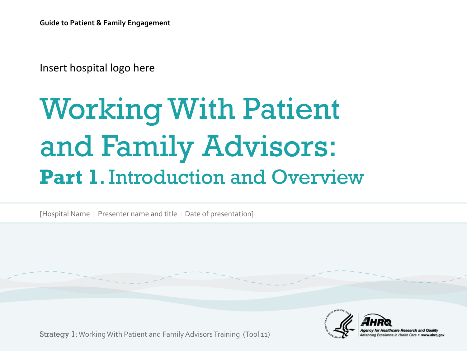Insert hospital logo here

# Working With Patient and Family Advisors: **Part 1**. Introduction and Overview

[Hospital Name | Presenter name and title | Date of presentation]



Strategy 1: Working With Patient and Family Advisors Training (Tool 11)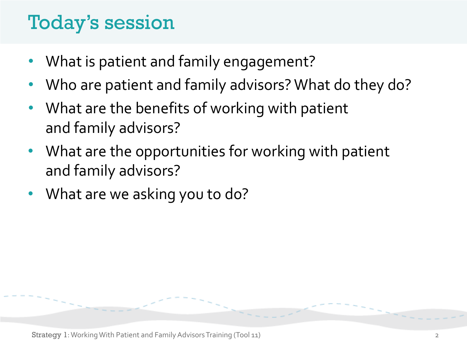## Today's session

- What is patient and family engagement?
- Who are patient and family advisors? What do they do?
- What are the benefits of working with patient and family advisors?
- What are the opportunities for working with patient and family advisors?
- What are we asking you to do?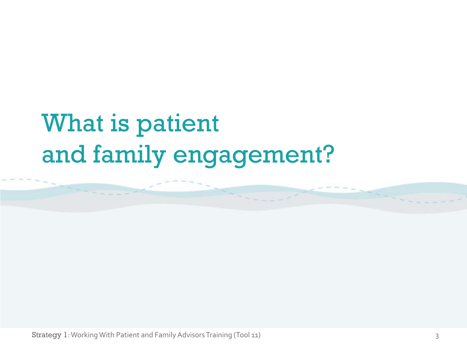# What is patient and family engagement?

Strategy 1: Working With Patient and Family Advisors Training (Tool 11) 33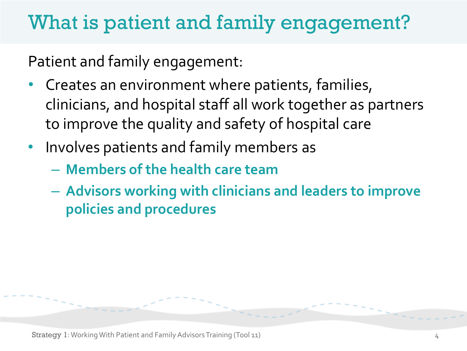## What is patient and family engagement?

Patient and family engagement:

- Creates an environment where patients, families, clinicians, and hospital staff all work together as partners to improve the quality and safety of hospital care
- Involves patients and family members as
	- **Members of the health care team**
	- **Advisors working with clinicians and leaders to improve policies and procedures**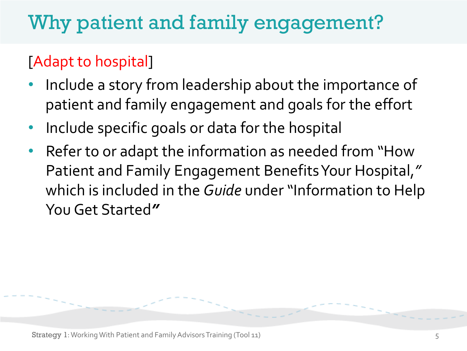## Why patient and family engagement?

### [Adapt to hospital]

- Include a story from leadership about the importance of patient and family engagement and goals for the effort
- Include specific goals or data for the hospital
- Refer to or adapt the information as needed from "How Patient and Family Engagement Benefits Your Hospital,*"* which is included in the *Guide* under "Information to Help You Get Started*"*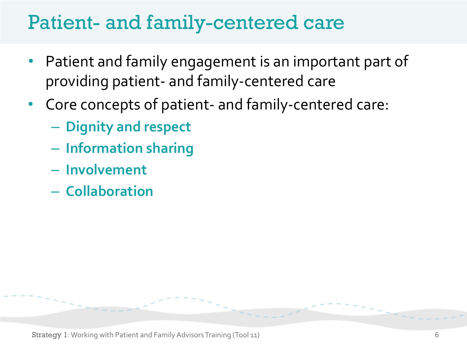## Patient- and family-centered care

- Patient and family engagement is an important part of providing patient- and family-centered care
- Core concepts of patient- and family-centered care:
	- **Dignity and respect**
	- **Information sharing**
	- **Involvement**
	- **Collaboration**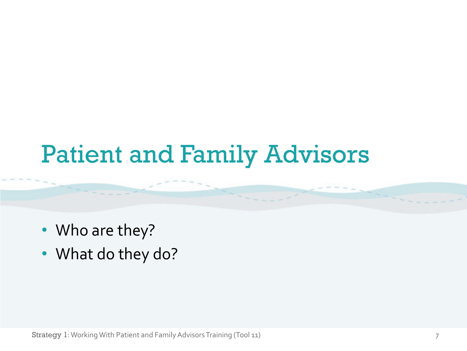## Patient and Family Advisors

- Who are they?
- What do they do?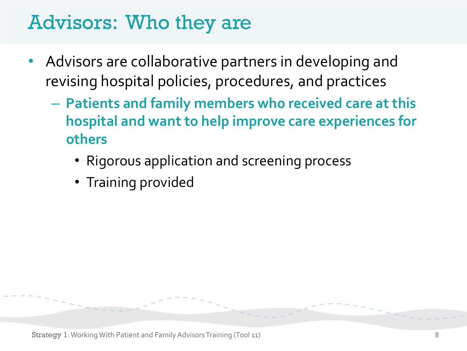## Advisors: Who they are

- Advisors are collaborative partners in developing and revising hospital policies, procedures, and practices
	- **Patients and family members who received care at this hospital and want to help improve care experiences for others**
		- Rigorous application and screening process
		- Training provided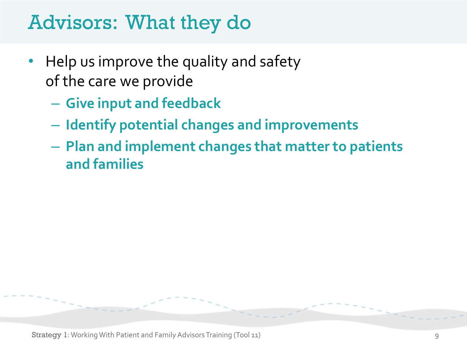## Advisors: What they do

- Help us improve the quality and safety of the care we provide
	- **Give input and feedback**
	- **Identify potential changes and improvements**
	- **Plan and implement changes that matter to patients and families**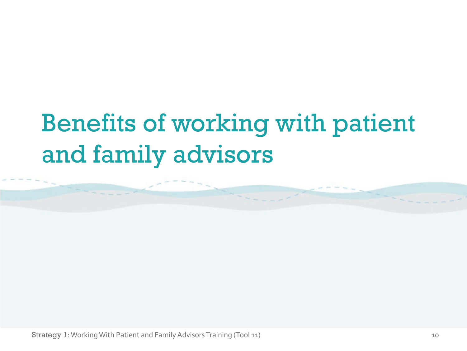# Benefits of working with patient and family advisors

Strategy 1: Working With Patient and Family Advisors Training (Tool 11) 10 10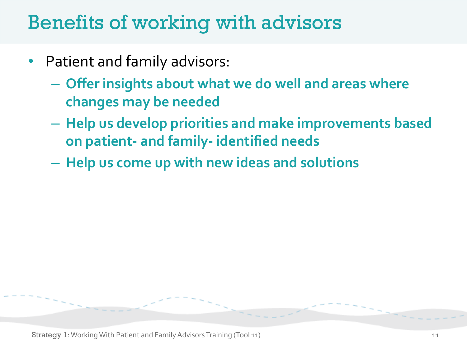## Benefits of working with advisors

- Patient and family advisors:
	- **Offer insights about what we do well and areas where changes may be needed**
	- **Help us develop priorities and make improvements based on patient- and family- identified needs**
	- **Help us come up with new ideas and solutions**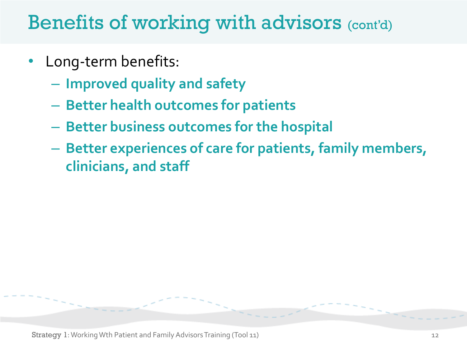## Benefits of working with advisors (cont'd)

- Long-term benefits:
	- **Improved quality and safety**
	- **Better health outcomes for patients**
	- **Better business outcomes for the hospital**
	- **Better experiences of care for patients, family members, clinicians, and staff**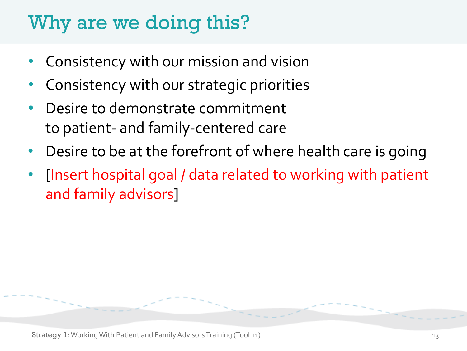## Why are we doing this?

- Consistency with our mission and vision
- Consistency with our strategic priorities
- Desire to demonstrate commitment to patient- and family-centered care
- Desire to be at the forefront of where health care is going
- [Insert hospital goal / data related to working with patient and family advisors]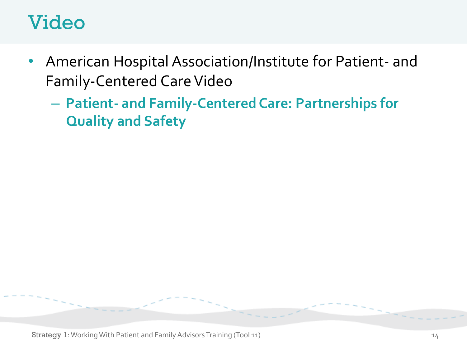## Video

- American Hospital Association/Institute for Patient- and Family-Centered Care Video
	- **Patient- and Family-Centered Care: Partnerships for Quality and Safety**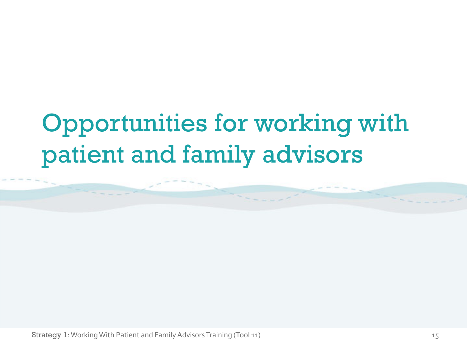# Opportunities for working with patient and family advisors

Strategy 1: Working With Patient and Family Advisors Training (Tool 11) 15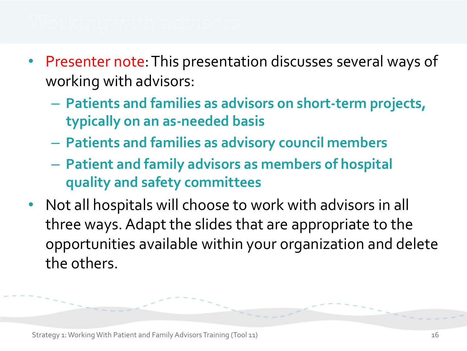- Presenter note: This presentation discusses several ways of working with advisors:
	- **Patients and families as advisors on short-term projects, typically on an as-needed basis**
	- **Patients and families as advisory council members**
	- **Patient and family advisors as members of hospital quality and safety committees**
- Not all hospitals will choose to work with advisors in all three ways. Adapt the slides that are appropriate to the opportunities available within your organization and delete the others.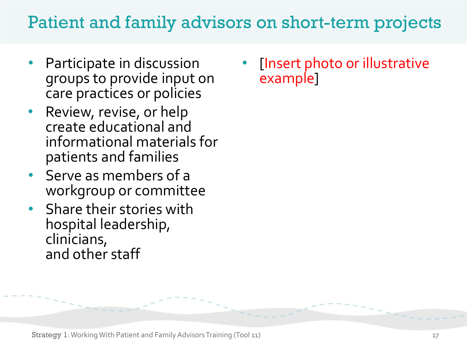### Patient and family advisors on short-term projects

- Participate in discussion groups to provide input on care practices or policies
- Review, revise, or help create educational and informational materials for patients and families
- Serve as members of a workgroup or committee
- Share their stories with hospital leadership, clinicians, and other staff

• [Insert photo or illustrative example]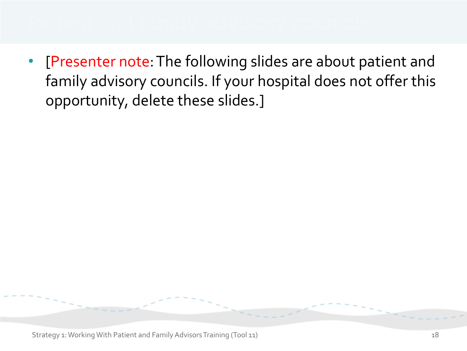• [Presenter note: The following slides are about patient and family advisory councils. If your hospital does not offer this opportunity, delete these slides.]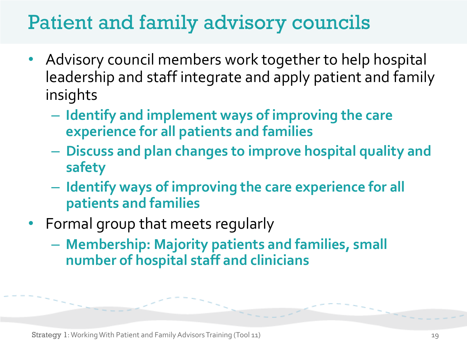## Patient and family advisory councils

- Advisory council members work together to help hospital leadership and staff integrate and apply patient and family insights
	- **Identify and implement ways of improving the care experience for all patients and families**
	- **Discuss and plan changes to improve hospital quality and safety**
	- **Identify ways of improving the care experience for all patients and families**
- Formal group that meets regularly
	- **Membership: Majority patients and families, small number of hospital staff and clinicians**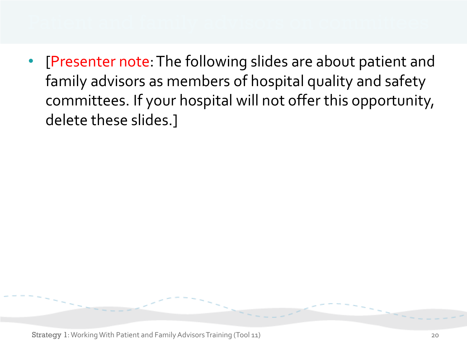• [Presenter note: The following slides are about patient and family advisors as members of hospital quality and safety committees. If your hospital will not offer this opportunity, delete these slides.]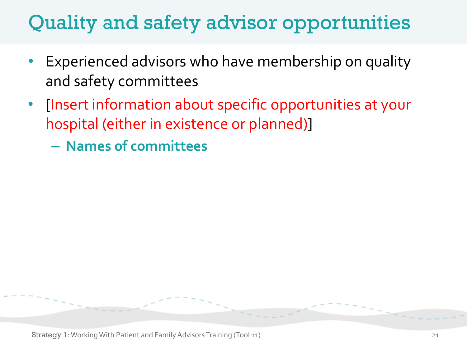## Quality and safety advisor opportunities

- Experienced advisors who have membership on quality and safety committees
- [Insert information about specific opportunities at your hospital (either in existence or planned)]
	- **Names of committees**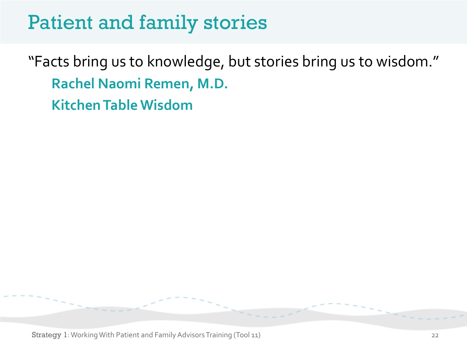## Patient and family stories

"Facts bring us to knowledge, but stories bring us to wisdom." **Rachel Naomi Remen, M.D. Kitchen Table Wisdom**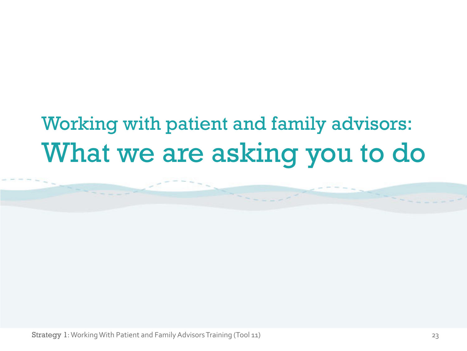## Working with patient and family advisors: What we are asking you to do

Strategy 1: Working With Patient and Family Advisors Training (Tool 11) 23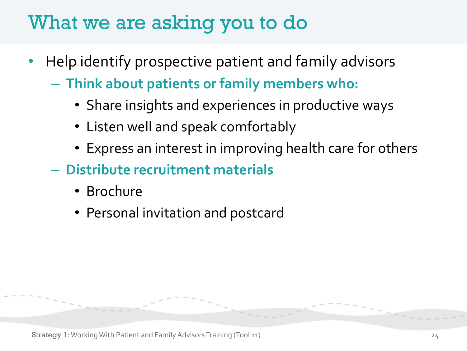## What we are asking you to do

- Help identify prospective patient and family advisors
	- **Think about patients or family members who:**
		- Share insights and experiences in productive ways
		- Listen well and speak comfortably
		- Express an interest in improving health care for others
	- **Distribute recruitment materials**
		- Brochure
		- Personal invitation and postcard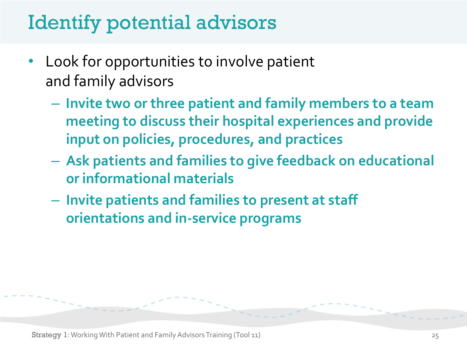## Identify potential advisors

- Look for opportunities to involve patient and family advisors
	- **Invite two or three patient and family members to a team meeting to discuss their hospital experiences and provide input on policies, procedures, and practices**
	- **Ask patients and families to give feedback on educational or informational materials**
	- **Invite patients and families to present at staff orientations and in-service programs**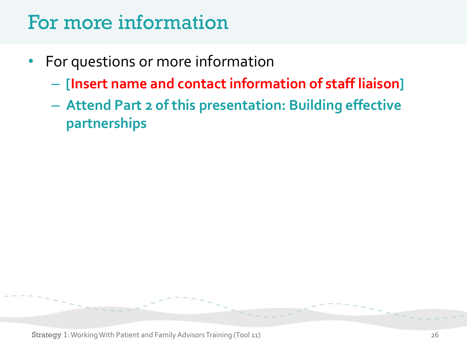## For more information

- For questions or more information
	- **[Insert name and contact information of staff liaison]**
	- **Attend Part 2 of this presentation: Building effective partnerships**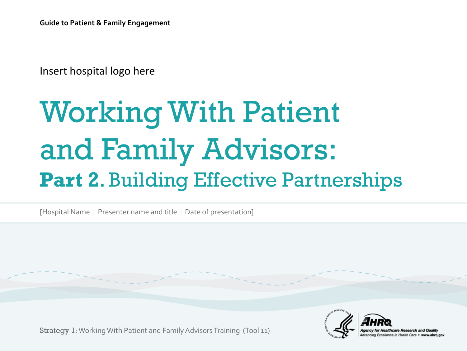Insert hospital logo here

# Working With Patient and Family Advisors: **Part 2**. Building Effective Partnerships

[Hospital Name | Presenter name and title | Date of presentation]

Strategy 1: Working With Patient and Family Advisors Training (Tool 11)

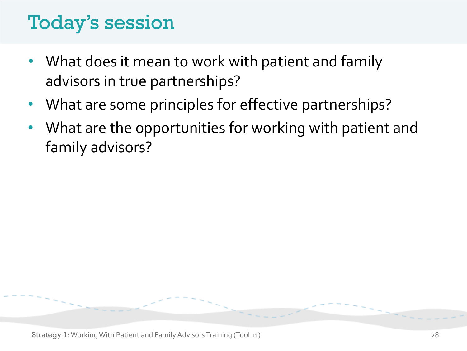## Today's session

- What does it mean to work with patient and family advisors in true partnerships?
- What are some principles for effective partnerships?
- What are the opportunities for working with patient and family advisors?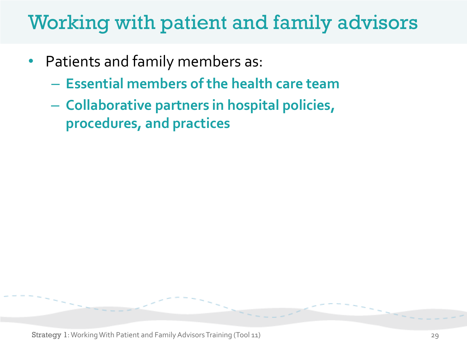## Working with patient and family advisors

- Patients and family members as:
	- **Essential members of the health care team**
	- **Collaborative partners in hospital policies, procedures, and practices**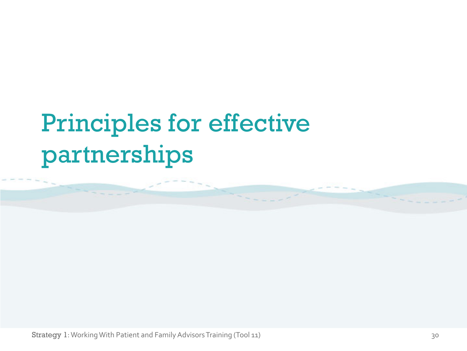# Principles for effective partnerships

Strategy 1: Working With Patient and Family Advisors Training (Tool 11) 30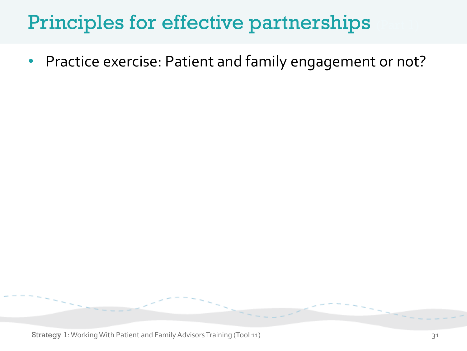## Principles for effective partnerships

• Practice exercise: Patient and family engagement or not?

Strategy 1: Working With Patient and Family Advisors Training (Tool 11) 31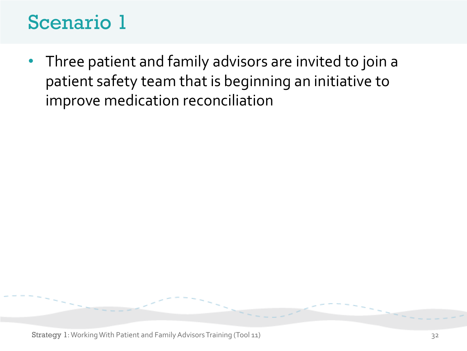• Three patient and family advisors are invited to join a patient safety team that is beginning an initiative to improve medication reconciliation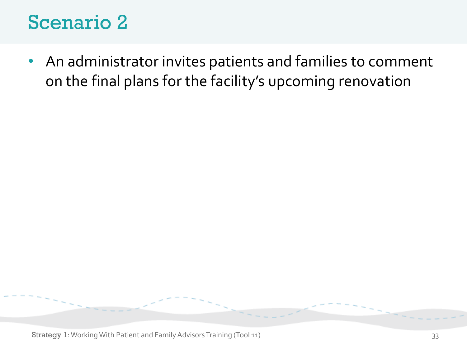• An administrator invites patients and families to comment on the final plans for the facility's upcoming renovation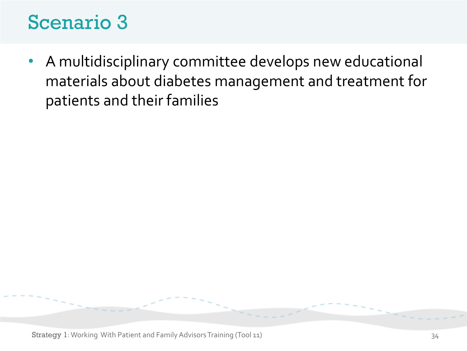• A multidisciplinary committee develops new educational materials about diabetes management and treatment for patients and their families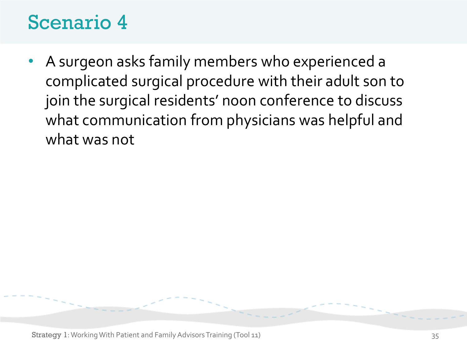• A surgeon asks family members who experienced a complicated surgical procedure with their adult son to join the surgical residents' noon conference to discuss what communication from physicians was helpful and what was not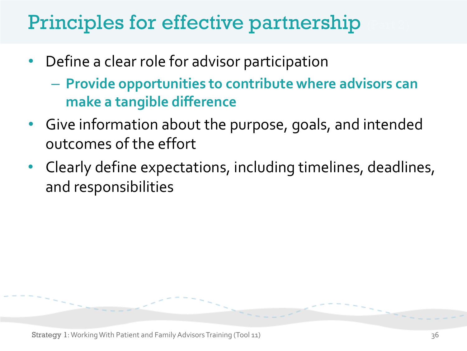## Principles for effective part nership

- Define a clear role for advisor participation
	- **Provide opportunities to contribute where advisors can make a tangible difference**
- Give information about the purpose, goals, and intended outcomes of the effort
- Clearly define expectations, including timelines, deadlines, and responsibilities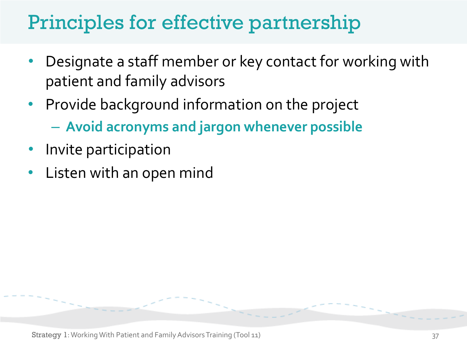## Principles for effective partnership

- Designate a staff member or key contact for working with patient and family advisors
- Provide background information on the project – **Avoid acronyms and jargon whenever possible**
- Invite participation
- Listen with an open mind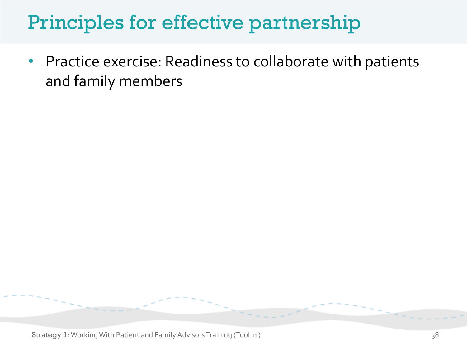## Principles for effective partnership

• Practice exercise: Readiness to collaborate with patients and family members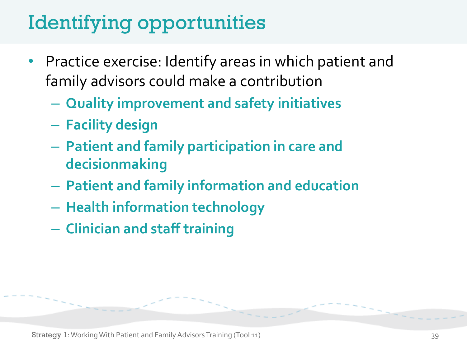## Identifying opportunities

- Practice exercise: Identify areas in which patient and family advisors could make a contribution
	- **Quality improvement and safety initiatives**
	- **Facility design**
	- **Patient and family participation in care and decisionmaking**
	- **Patient and family information and education**
	- **Health information technology**
	- **Clinician and staff training**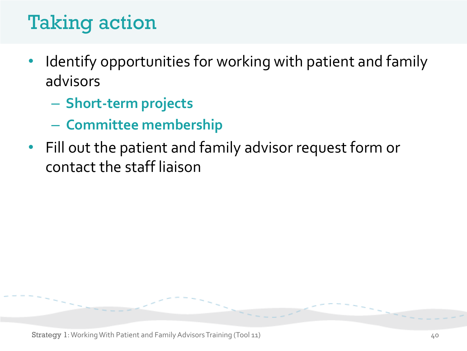## Taking action

- Identify opportunities for working with patient and family advisors
	- **Short-term projects**
	- **Committee membership**
- Fill out the patient and family advisor request form or contact the staff liaison